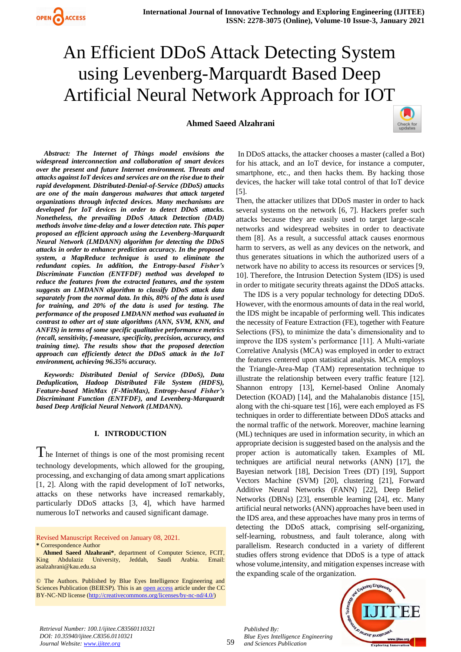

## **Ahmed Saeed Alzahrani**



*Abstract: The Internet of Things model envisions the widespread interconnection and collaboration of smart devices over the present and future Internet environment. Threats and attacks against IoT devices and services are on the rise due to their rapid development. Distributed-Denial-of-Service (DDoS) attacks are one of the main dangerous malwares that attack targeted organizations through infected devices. Many mechanisms are developed for IoT devices in order to detect DDoS attacks. Nonetheless, the prevailing DDoS Attack Detection (DAD) methods involve time-delay and a lower detection rate. This paper proposed an efficient approach using the Levenberg-Marquardt Neural Network (LMDANN) algorithm for detecting the DDoS attacks in order to enhance prediction accuracy. In the proposed system, a MapReduce technique is used to eliminate the redundant copies. In addition, the Entropy-based Fisher's Discriminate Function (ENTFDF) method was developed to reduce the features from the extracted features, and the system suggests an LMDANN algorithm to classify DDoS attack data separately from the normal data. In this, 80% of the data is used for training, and 20% of the data is used for testing. The performance of the proposed LMDANN method was evaluated in contrast to other art of state algorithms (ANN, SVM, KNN, and ANFIS) in terms of some specific qualitative performance metrics (recall, sensitivity, f-measure, specificity, precision, accuracy, and training time). The results show that the proposed detection approach can efficiently detect the DDoS attack in the IoT environment, achieving 96.35% accuracy.*

*Keywords: Distributed Denial of Service (DDoS), Data Deduplication, Hadoop Distributed File System (HDFS), Feature-based MinMax (F-MinMax), Entropy-based Fisher's Discriminant Function (ENTFDF), and Levenberg-Marquardt based Deep Artificial Neural Network (LMDANN).* 

#### **I. INTRODUCTION**

 $\prod$  he Internet of things is one of the most promising recent technology developments, which allowed for the grouping, processing, and exchanging of data among smart applications [1, 2]. Along with the rapid development of IoT networks, attacks on these networks have increased [remarkably,](https://www.wordhippo.com/what-is/another-word-for/remarkably.html) particularly DDoS attacks [3, 4], which have harmed numerous IoT networks and caused significant damage.

Revised Manuscript Received on January 08, 2021. **\*** Correspondence Author

In DDoS attacks, the attacker chooses a master (called a Bot) for his attack, and an IoT device, for instance a computer, smartphone, etc., and then hacks them. By hacking those devices, the hacker will take total control of that IoT device [5].

Then, the attacker utilizes that DDoS master in order to hack several systems on the network [6, 7]. Hackers prefer such attacks because they are easily used to target large-scale networks and widespread websites in order to deactivate them [8]. As a result, a successful attack causes enormous harm to servers, as well as any devices on the network, and thus generates situations in which the authorized users of a network have no ability to access its resources or services [9, 10]. Therefore, the Intrusion Detection System (IDS) is used in order to mitigate security threats against the DDoS attacks.

The IDS is a very popular technology for detecting DDoS. However, with the enormous amounts of data in the real world, the IDS might be incapable of performing well. This indicates the necessity of Feature Extraction (FE), together with Feature Selections (FS), to minimize the data's dimensionality and to improve the IDS system's performance [11]. A Multi-variate Correlative Analysis (MCA) was employed in order to extract the features centered upon statistical analysis. MCA employs the Triangle-Area-Map (TAM) representation technique to illustrate the relationship between every traffic feature [12]. Shannon entropy [13], Kernel-based Online Anomaly Detection (KOAD) [14], and the Mahalanobis distance [15], along with the chi-square test [16], were each employed as FS techniques in order to differentiate between DDoS attacks and the normal traffic of the network. Moreover, machine learning (ML) techniques are used in information security, in which an appropriate decision is suggested based on the analysis and the proper action is automatically taken. Examples of ML techniques are artificial neural networks (ANN) [17], the Bayesian network [18], Decision Trees (DT) [19], Support Vectors Machine (SVM) [20], clustering [21], Forward Additive Neural Networks (FANN) [22], Deep Belief Networks (DBNs) [23], ensemble learning [24], etc. Many artificial neural networks (ANN) approaches have been used in the IDS area, and these approaches have many pros in terms of detecting the DDoS attack, comprising self-organizing, self-learning, robustness, and fault tolerance, along with parallelism. Research conducted in a variety of different studies offers strong evidence that DDoS is a type of attack whose volume,intensity, and mitigation expenses increase with the expanding scale of the organization.



*Published By:*

**Ahmed Saeed Alzahrani\***, department of Computer Science, FCIT, King Abdulaziz University, Jeddah, Saudi Arabia. Email: asalzahrani@kau.edu.sa

<sup>©</sup> The Authors. Published by Blue Eyes Intelligence Engineering and Sciences Publication (BEIESP). This is an [open access](https://www.openaccess.nl/en/open-publications) article under the CC BY-NC-ND license [\(http://creativecommons.org/licenses/by-nc-nd/4.0/\)](http://creativecommons.org/licenses/by-nc-nd/4.0/)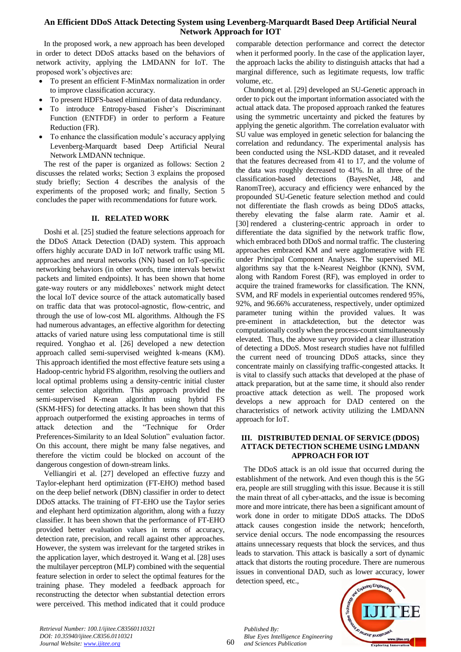In the proposed work, a new approach has been developed in order to detect DDoS attacks based on the behaviors of network activity, applying the LMDANN for IoT. The proposed work's objectives are:

- To present an efficient F-MinMax normalization in order to improve classification accuracy.
- To present HDFS-based elimination of data redundancy.
- To introduce Entropy-based Fisher's Discriminant Function (ENTFDF) in order to perform a Feature Reduction (FR).
- To enhance the classification module's accuracy applying Levenberg-Marquardt based Deep Artificial Neural Network LMDANN technique.

The rest of the paper is organized as follows: Section 2 discusses the related works; Section 3 explains the proposed study briefly; Section 4 describes the analysis of the experiments of the proposed work; and finally, Section 5 concludes the paper with recommendations for future work.

## **II. RELATED WORK**

Doshi et al. [25] studied the feature selections approach for the DDoS Attack Detection (DAD) system. This approach offers highly accurate DAD in IoT network traffic using ML approaches and neural networks (NN) based on IoT-specific networking behaviors (in other words, time intervals betwixt packets and limited endpoints). It has been shown that home gate-way routers or any middleboxes' network might detect the local IoT device source of the attack automatically based on traffic data that was protocol-agnostic, flow-centric, and through the use of low-cost ML algorithms. Although the FS had numerous advantages, an effective algorithm for detecting attacks of varied nature using less computational time is still required. Yonghao et al. [26] developed a new detection approach called semi-supervised weighted k-means (KM). This approach identified the most effective feature sets using a Hadoop-centric hybrid FS algorithm, resolving the outliers and local optimal problems using a density-centric initial cluster center selection algorithm. This approach provided the semi-supervised K-mean algorithm using hybrid FS (SKM-HFS) for detecting attacks. It has been shown that this approach outperformed the existing approaches in terms of attack detection and the "Technique for Order Preferences-Similarity to an Ideal Solution" evaluation factor. On this account, there might be many false negatives, and therefore the victim could be blocked on account of the dangerous congestion of down-stream links.

Velliangiri et al. [27] developed an effective fuzzy and Taylor-elephant herd optimization (FT-EHO) method based on the deep belief network (DBN) classifier in order to detect DDoS attacks. The training of FT-EHO use the Taylor series and elephant herd optimization algorithm, along with a fuzzy classifier. It has been shown that the performance of FT-EHO provided better evaluation values in terms of accuracy, detection rate, precision, and recall against other approaches. However, the system was irrelevant for the targeted strikes in the application layer, which destroyed it. Wang et al. [28] uses the multilayer perceptron (MLP) combined with the sequential feature selection in order to select the optimal features for the training phase. They modeled a feedback approach for reconstructing the detector when substantial detection errors were perceived. This method indicated that it could produce comparable detection performance and correct the detector when it performed poorly. In the case of the application layer, the approach lacks the ability to distinguish attacks that had a marginal difference, such as legitimate requests, low traffic volume, etc.

Chundong et al. [29] developed an SU-Genetic approach in order to pick out the important information associated with the actual attack data. The proposed approach ranked the features using the symmetric uncertainty and picked the features by applying the genetic algorithm. The correlation evaluator with SU value was employed in genetic selection for balancing the correlation and redundancy. The experimental analysis has been conducted using the NSL-KDD dataset, and it revealed that the features decreased from 41 to 17, and the volume of the data was roughly decreased to 41%. In all three of the classification-based detections (BayesNet, J48, and RanomTree), accuracy and efficiency were enhanced by the propounded SU-Genetic feature selection method and could not differentiate the flash crowds as being DDoS attacks, thereby elevating the false alarm rate. Aamir et al. [30] rendered a clustering-centric approach in order to differentiate the data signified by the network traffic flow, which embraced both DDoS and normal traffic. The clustering approaches embraced KM and were agglomerative with FE under Principal Component Analyses. The supervised ML algorithms say that the k-Nearest Neighbor (KNN), SVM, along with Random Forest (RF), was employed in order to acquire the trained frameworks for classification. The KNN, SVM, and RF models in experiential outcomes rendered 95%, 92%, and 96.66% accurateness, respectively, under optimized parameter tuning within the provided values. It was pre-eminent in attackdetection, but the detector was computationally costly when the process-count simultaneously elevated. Thus, the above survey provided a clear illustration of detecting a DDoS. Most research studies have not fulfilled the current need of trouncing DDoS attacks, since they concentrate mainly on classifying traffic-congested attacks. It is vital to classify such attacks that developed at the phase of attack preparation, but at the same time, it should also render proactive attack detection as well. The proposed work develops a new approach for DAD centered on the characteristics of network activity utilizing the LMDANN approach for IoT.

## **III. DISTRIBUTED DENIAL OF SERVICE (DDOS) ATTACK DETECTION SCHEME USING LMDANN APPROACH FOR IOT**

The DDoS attack is an old issue that occurred during the establishment of the network. And even though this is the 5G era, people are still struggling with this issue. Because it is still the main threat of all cyber-attacks, and the issue is becoming more and more intricate, there has been a significant amount of work done in order to mitigate DDoS attacks. The DDoS attack causes congestion inside the network; henceforth, service denial occurs. The node encompassing the resources attains unnecessary requests that block the services, and thus leads to starvation. This attack is basically a sort of dynamic attack that distorts the routing procedure. There are numerous issues in conventional DAD, such as lower accuracy, lower detection speed, etc.,

*Retrieval Number: 100.1/ijitee.C83560110321 DOI: 10.35940/ijitee.C8356.0110321 Journal Website: www.ijitee.org*

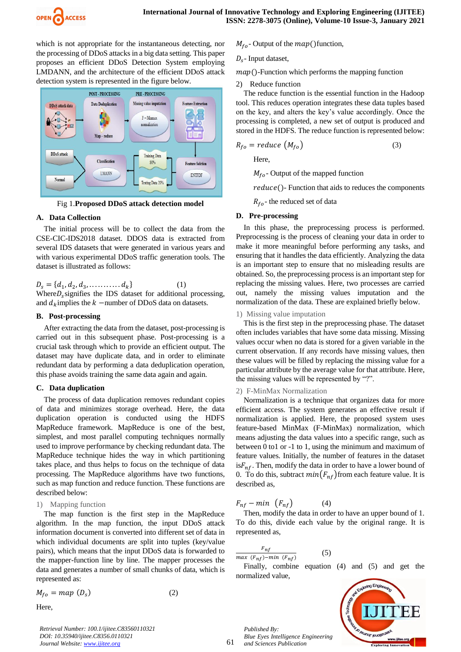

which is not appropriate for the instantaneous detecting, nor the processing of DDoS attacks in a big data setting. This paper proposes an efficient DDoS Detection System employing LMDANN, and the architecture of the efficient DDoS attack detection system is represented in the figure below.



Fig 1.**Proposed DDoS attack detection model**

#### **A. Data Collection**

The initial process will be to collect the data from the CSE-CIC-IDS2018 dataset. DDOS data is extracted from several IDS datasets that were generated in various years and with various experimental DDoS traffic generation tools. The dataset is illustrated as follows:

 $D_s = \{d_1, d_2, d_3,$  (1) Where $D_s$  signifies the IDS dataset for additional processing, and  $d_k$  implies the  $k$  -number of DDoS data on datasets.

#### **B. Post-processing**

After extracting the data from the dataset, post-processing is carried out in this subsequent phase. Post-processing is a crucial task through which to provide an efficient output. The dataset may have duplicate data, and in order to eliminate redundant data by performing a data deduplication operation, this phase avoids training the same data again and again.

#### **C. Data duplication**

The process of data duplication removes redundant copies of data and minimizes storage overhead. Here, the data duplication operation is conducted using the HDFS MapReduce framework. MapReduce is one of the best, simplest, and most parallel computing techniques normally used to improve performance by checking redundant data. The MapReduce technique hides the way in which partitioning takes place, and thus helps to focus on the technique of data processing. The MapReduce algorithms have two functions, such as map function and reduce function. These functions are described below:

#### 1) Mapping function

The map function is the first step in the MapReduce algorithm. In the map function, the input DDoS attack information document is converted into different set of data in which individual documents are split into tuples (key/value pairs), which means that the input DDoS data is forwarded to the mapper-function line by line. The mapper processes the data and generates a number of small chunks of data, which is represented as:

$$
M_{fo} = map (D_s) \tag{2}
$$

Here,

*Retrieval Number: 100.1/ijitee.C83560110321 DOI: 10.35940/ijitee.C8356.0110321 Journal Website: www.ijitee.org*

 $M_{fo}$ - Output of the  $map()$  function,

$$
D_s
$$
- Input dataset,

 $map()$ -Function which performs the mapping function

2) Reduce function

The reduce function is the essential function in the Hadoop tool. This reduces operation integrates these data tuples based on the key, and alters the key's value accordingly. Once the processing is completed, a new set of output is produced and stored in the HDFS. The reduce function is represented below:

$$
R_{fo} = reduce \left( M_{fo} \right) \tag{3}
$$

Here,

 $M_{fo}$ - Output of the mapped function

 $reduce()$ - Function that aids to reduces the components

 $R_{fo}$ - the reduced set of data

#### **D. Pre-processing**

In this phase, the preprocessing process is performed. Preprocessing is the process of cleaning your data in order to make it more meaningful before performing any tasks, and ensuring that it handles the data efficiently. Analyzing the data is an important step to ensure that no misleading results are obtained. So, the preprocessing process is an important step for replacing the missing values. Here, two processes are carried out, namely the missing values imputation and the normalization of the data. These are explained briefly below.

#### 1) Missing value imputation

This is the first step in the preprocessing phase. The dataset often includes variables that have some data missing. Missing values occur when no data is stored for a given variable in the current observation. If any records have missing values, then these values will be filled by replacing the missing value for a particular attribute by the average value for that attribute. Here, the missing values will be represented by "?".

#### 2) F-MinMax Normalization

Normalization is a technique that organizes data for more efficient access. The system generates an effective result if normalization is applied. Here, the proposed system uses feature-based MinMax (F-MinMax) normalization, which means adjusting the data values into a specific range, such as between 0 to1 or -1 to 1, using the minimum and maximum of feature values. Initially, the number of features in the dataset is  $F_{nf}$ . Then, modify the data in order to have a lower bound of 0. To do this, subtract  $min(F_{nf})$  from each feature value. It is described as,

$$
F_{nf} - min \t(F_{nf}) \t(4)
$$

Then, modify the data in order to have an upper bound of 1. To do this, divide each value by the original range. It is represented as,

$$
\frac{F_{nf}}{\max(F_{nf}) - \min(F_{nf})}
$$
 (5)

Finally, combine equation (4) and (5) and get the normalized value,



*Published By: Blue Eyes Intelligence Engineering and Sciences Publication* 

nloring Engir

61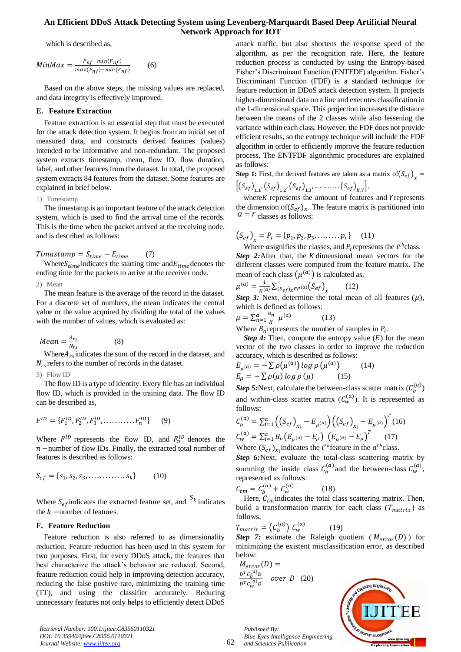which is described as,

$$
MinMax = \frac{F_{nf} - min(F_{nf})}{max(F_{nf}) - min(F_{nf})}
$$
(6)

Based on the above steps, the missing values are replaced, and data integrity is effectively improved.

#### **E. Feature Extraction**

Feature extraction is an essential step that must be executed for the attack detection system. It begins from an initial set of measured data, and constructs derived features (values) intended to be informative and non-redundant. The proposed system extracts timestamp, mean, flow ID, flow duration, label, and other features from the dataset. In total, the proposed system extracts 84 features from the dataset. Some features are explained in brief below.

#### 1) Timestamp

The timestamp is an important feature of the attack detection system, which is used to find the arrival time of the records. This is the time when the packet arrived at the receiving node, and is described as follows:

 $Timastamp = S_{time} - E_{time}$  (7)

Where  $S_{time}$  indicates the starting time and  $E_{time}$  denotes the ending time for the packets to arrive at the receiver node.

2) Mean

The mean feature is the average of the record in the dataset. For a discrete set of numbers, the mean indicates the central value or the value acquired by dividing the total of the values with the number of values, which is evaluated as:

$$
Mean = \frac{A_{rs}}{N_{rs}}\tag{8}
$$

Where  $A_{rs}$  indicates the sum of the record in the dataset, and  $N_{rs}$  refers to the number of records in the dataset.

3) Flow ID

The flow ID is a type of identity. Every file has an individual flow ID, which is provided in the training data. The flow ID can be described as,

$$
F^{ID} = \{F_1^{ID}, F_2^{ID}, F_3^{ID}, \dots, F_n^{ID}\} \tag{9}
$$

Where  $F^{ID}$  represents the flow ID, and  $F_n^{ID}$  denotes the  $n$  –number of flow IDs. Finally, the extracted total number of features is described as follows:

$$
S_{ef} = \{s_1, s_2, s_3, \dots, s_k\} \tag{10}
$$

Where  $S_{ef}$  indicates the extracted feature set, and  $S_k$  indicates the  $k$  -number of features.

#### **F. Feature Reduction**

Feature reduction is also referred to as dimensionality reduction. Feature reduction has been used in this system for two purposes. First, for every DDoS attack, the features that best characterize the attack's behavior are reduced. Second, feature reduction could help in improving detection accuracy, reducing the false positive rate, minimizing the training time (TT), and using the classifier accurately. Reducing unnecessary features not only helps to efficiently detect DDoS attack traffic, but also shortens the response speed of the algorithm, as per the recognition rate. Here, the feature reduction process is conducted by using the Entropy-based Fisher's Discriminant Function (ENTFDF) algorithm. Fisher's Discriminant Function (FDF) is a standard technique for feature reduction in DDoS attack detection system. It projects higher-dimensional data on a line and executes classification in the 1-dimensional space. This projection increases the distance between the means of the 2 classes while also lessening the variance within each class. However, the FDF does not provide efficient results, so the entropy technique will include the FDF algorithm in order to efficiently improve the feature reduction process. The ENTFDF algorithmic procedures are explained as follows:

**Step 1:** First, the derived features are taken as a matrix of  $(S_{ef})_x =$  $\sqrt{3}$   $\sqrt{2}$ 

$$
\left[ \left( S_{ef} \right)_{1,1}, \left( S_{ef} \right)_{1,2}, \left( S_{ef} \right)_{1,3}, \dots, \left( S_{ef} \right)_{K,Y} \right],
$$
\nwhere *K* represents the amount of features.

where K represents the amount of features and Y represents the dimension of  $(S_{ef})_x$ . The feature matrix is partitioned into  $a = r$  classes as follows:

$$
(S_{ef})_x = P_i = \{p_1, p_2, p_3, \dots, p_r\} \quad (11)
$$

Where asignifies the classes, and  $P_i$  represents the  $i^{th}$  class. *Step 2:*After that, the K dimensional mean vectors for the different classes were computed from the feature matrix. The mean of each class  $(\mu^{(a)})$  is calculated as,

$$
\mu^{(a)} = \frac{1}{K^{(a)}} \sum_{(S_{ef})_x \in P^{(a)}} (S_{ef})_x \tag{12}
$$

*Step 3:* Next, determine the total mean of all features  $(\mu)$ , which is defined as follows:

$$
\mu = \sum_{n=1}^{a} \frac{B_n}{K} \mu^{(a)} \tag{13}
$$

Where  $B_n$  represents the number of samples in  $P_i$ .

*Step 4:* Then, compute the entropy value  $(E)$  for the mean vector of the two classes in order to improve the reduction accuracy, which is described as follows:

$$
E_{\mu^{(a)}} = -\sum \rho(\mu^{(a)}) \log \rho(\mu^{(a)}) \qquad (14)
$$
  

$$
E_{\mu} = -\sum \rho(\mu) \log \rho(\mu) \qquad (15)
$$

**Step 5:** Next, calculate the between-class scatter matrix  $(C_h^{(a)})$ and within-class scatter matrix  $(C_w^{(a)})$ . It is represented as follows:

$$
C_b^{(a)} = \sum_{i=1}^a \left( \left( S_{ef} \right)_{x_i} - E_{\mu^{(a)}} \right) \left( \left( S_{ef} \right)_{x_i} - E_{\mu^{(a)}} \right)^T (16)
$$
  
\n
$$
C_w^{(a)} = \sum_{i=1}^a B_n \left( E_{\mu^{(a)}} - E_{\mu} \right) \left( E_{\mu^{(a)}} - E_{\mu} \right)^T (17)
$$
  
\nWhere  $(S_{ef})_{x_i}$  indicates the *i*<sup>th</sup> feature in the *a*<sup>th</sup> class.

*Step 6:*Next, evaluate the total-class scattering matrix by summing the inside class  $C_h^{(a)}$  and the between-class  $C_w^{(a)}$ , represented as follows:

$$
C_{tm} = C_b^{(a)} + C_w^{(a)}
$$
 (18)

Here,  $C_{tm}$  indicates the total class scattering matrix. Then, build a transformation matrix for each class  $(T<sub>matrix</sub>)$  as follows,

$$
T_{matrix} = \left(C_b^{(a)}\right) C_w^{(a)} \tag{19}
$$

*Blue Eyes Intelligence Engineering and Sciences Publication* 

**Step 7:** estimate the Raleigh quotient ( $M_{error}(D)$ ) for minimizing the existent misclassification error, as described below:

$$
M_{error}(D) =
$$
  
\n
$$
\frac{D^{T}C_{b}^{(a)}D}{D^{T}C_{w}^{(a)}D}
$$
 over D (20)

*Published By:*



*Retrieval Number: 100.1/ijitee.C83560110321 DOI: 10.35940/ijitee.C8356.0110321 Journal Website: www.ijitee.org*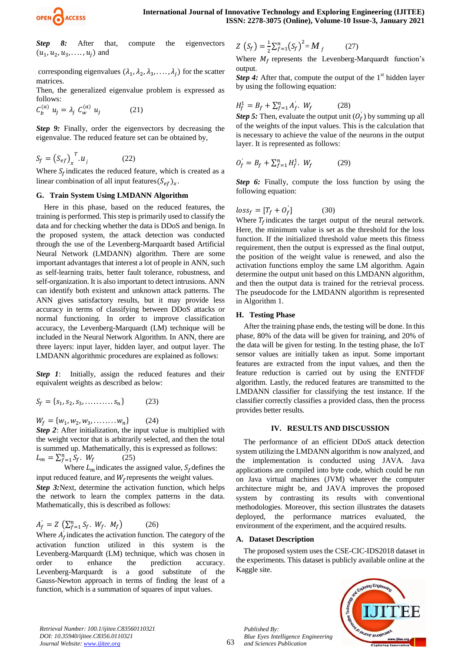

**Step 8:** After that, compute the eigenvectors  $(u_1, u_2, u_3, \ldots, u_i)$  and

corresponding eigenvalues  $(\lambda_1, \lambda_2, \lambda_3, ..., \lambda_i)$  for the scatter matrices.

Then, the generalized eigenvalue problem is expressed as follows:

$$
C_b^{(a)} u_j = \lambda_j C_w^{(a)} u_j \qquad (21)
$$

*Step 9:* Finally, order the eigenvectors by decreasing the eigenvalue. The reduced feature set can be obtained by,

$$
S_f = \left(S_{ef}\right)_x^T u_j \tag{22}
$$

Where  $S_f$  indicates the reduced feature, which is created as a linear combination of all input features  $(S_{ef})_x$ .

#### **G. Train System Using LMDANN Algorithm**

Here in this phase, based on the reduced features, the training is performed. This step is primarily used to classify the data and for checking whether the data is DDoS and benign. In the proposed system, the attack detection was conducted through the use of the Levenberg-Marquardt based Artificial Neural Network (LMDANN) algorithm. There are some important advantages that interest a lot of people in ANN, such as self-learning traits, better fault tolerance, robustness, and self-organization. It is also important to detect intrusions. ANN can identify both existent and unknown attack patterns. The ANN gives satisfactory results, but it may provide less accuracy in terms of classifying between DDoS attacks or normal functioning. In order to improve classification accuracy, the Levenberg-Marquardt (LM) technique will be included in the Neural Network Algorithm. In ANN, there are three layers: input layer, hidden layer, and output layer. The LMDANN algorithmic procedures are explained as follows:

*Step 1*: Initially, assign the reduced features and their equivalent weights as described as below:

$$
S_f = \{s_1, s_2, s_3, \dots, s_n\} \tag{23}
$$

 $W_f = \{W_1, W_2, W_3, W_4\}$ (24)

*Step 2*: After initialization, the input value is multiplied with the weight vector that is arbitrarily selected, and then the total is summed up. Mathematically, this is expressed as follows:  $L_m = \sum_f^n$ (25)

Where  $L_m$  indicates the assigned value,  $S_f$  defines the input reduced feature, and  $W_f$  represents the weight values. *Step 3:*Next, determine the activation function, which helps the network to learn the complex patterns in the data. Mathematically, this is described as follows:

$$
A_f' = Z \left( \sum_{f=1}^n S_f, W_f, M_f \right) \tag{26}
$$

Where  $A_f$  indicates the activation function. The category of the activation function utilized in this system is the Levenberg-Marquardt (LM) technique, which was chosen in order to enhance the prediction accuracy. Levenberg-Marquardt is a good substitute of the Gauss-Newton approach in terms of finding the least of a function, which is a summation of squares of input values.

$$
Z\left(S_{f}\right) = \frac{1}{2} \sum_{f=1}^{n} \left(S_{f}\right)^{2} = M_{f} \tag{27}
$$

Where  $M_f$  represents the Levenberg-Marquardt function's output.

*Step 4:* After that, compute the output of the  $1<sup>st</sup>$  hidden layer by using the following equation:

$$
H_f^1 = B_f + \sum_{f=1}^n A_f'.
$$
 W<sub>f</sub> (28)

*Step 5:* Then, evaluate the output unit  $(O_f)$  by summing up all of the weights of the input values. This is the calculation that is necessary to achieve the value of the neurons in the output layer. It is represented as follows:

$$
O_f' = B_f + \sum_{f=1}^n H_f^1. \ W_f \tag{29}
$$

*Step 6:* Finally, compute the loss function by using the following equation:

$$
loss_f = [T_f + O_f'] \tag{30}
$$

Where  $T_f$  indicates the target output of the neural network. Here, the minimum value is set as the threshold for the loss function. If the initialized threshold value meets this fitness requirement, then the output is expressed as the final output, the position of the weight value is renewed, and also the activation functions employ the same LM algorithm. Again determine the output unit based on this LMDANN algorithm, and then the output data is trained for the retrieval process. The pseudocode for the LMDANN algorithm is represented in Algorithm 1.

#### **H. Testing Phase**

After the training phase ends, the testing will be done. In this phase, 80% of the data will be given for training, and 20% of the data will be given for testing. In the testing phase, the IoT sensor values are initially taken as input. Some important features are extracted from the input values, and then the feature reduction is carried out by using the ENTFDF algorithm. Lastly, the reduced features are transmitted to the LMDANN classifier for classifying the test instance. If the classifier correctly classifies a provided class, then the process provides better results.

#### **IV. RESULTS AND DISCUSSION**

The performance of an efficient DDoS attack detection system utilizing the LMDANN algorithm is now analyzed, and the implementation is conducted using JAVA. Java applications are compiled into byte code, which could be run on Java virtual machines (JVM) whatever the computer architecture might be, and JAVA improves the proposed system by contrasting its results with conventional methodologies. Moreover, this section illustrates the datasets deployed, the performance matrices evaluated, the environment of the experiment, and the acquired results.

#### **A. Dataset Description**

The proposed system uses the CSE-CIC-IDS2018 dataset in the experiments. This dataset is publicly available online at the Kaggle site.



63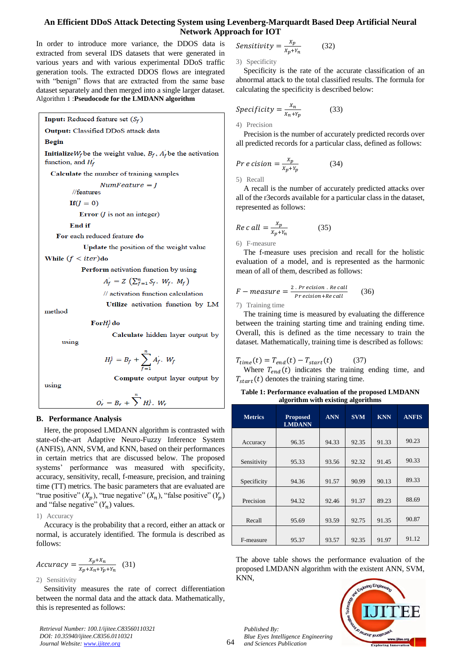In order to introduce more variance, the DDOS data is extracted from several IDS datasets that were generated in various years and with various experimental DDoS traffic generation tools. The extracted DDOS flows are integrated with "benign" flows that are extracted from the same base dataset separately and then merged into a single larger dataset. Algorithm 1 :**Pseudocode for the LMDANN algorithm**

Input: Reduced feature set  $(S_f)$ 

Output: Classified DDoS attack data

#### Regin

Initialize  $W_f$  be the weight value,  $B_f$ ,  $A_f$  be the activation function, and  $H_f$ 

Calculate the number of training samples

 $Number = I$ //features

 $If(J = 0)$ 

Error  $(J$  is not an integer)

End if

For each reduced feature do

Update the position of the weight value

While  $(f < iter)$ do

Perform activation function by using

$$
A_f = Z \left( \sum_{f=1}^n S_f, W_f, M_f \right)
$$

// activation function calculation

method

using

 $\mathbf{For} H^1_f$  do

Calculate hidden layer output by

Compute output layer output by

$$
H_f^1 = B_f + \sum_{f=1}^n A_f^{\prime}. \ W_f
$$

using

$$
O_f = B_f + \sum^n H_f^1.
$$
 W<sub>f</sub>

#### **B. Performance Analysis**

Here, the proposed LMDANN algorithm is contrasted with state-of-the-art Adaptive Neuro-Fuzzy Inference System (ANFIS), ANN, SVM, and KNN, based on their performances in certain metrics that are discussed below. The proposed systems' performance was measured with specificity, accuracy, sensitivity, recall, f-measure, precision, and training time (TT) metrics. The basic parameters that are evaluated are "true positive"  $(X_p)$ , "true negative"  $(X_n)$ , "false positive"  $(Y_p)$ and "false negative"  $(Y_n)$  values.

1) Accuracy

Accuracy is the probability that a record, either an attack or normal, is accurately identified. The formula is described as follows:

$$
Accuracy = \frac{X_p + X_n}{X_p + X_n + Y_p + Y_n} \quad (31)
$$

2) Sensitivity

Sensitivity measures the rate of correct differentiation between the normal data and the attack data. Mathematically, this is represented as follows:

*Retrieval Number: 100.1/ijitee.C83560110321 DOI: 10.35940/ijitee.C8356.0110321 Journal Website: www.ijitee.org*

$$
Sensitivity = \frac{x_p}{x_p + Y_n} \tag{32}
$$

3) Specificity

Specificity is the rate of the accurate classification of an abnormal attack to the total classified results. The formula for calculating the specificity is described below:

$$
Specificity = \frac{x_n}{x_n + Y_p} \tag{33}
$$

4) Precision

Precision is the number of accurately predicted records over all predicted records for a particular class, defined as follows:

$$
Pr\ e\ cision = \frac{x_p}{x_p + Y_p} \tag{34}
$$

5) Recall

A recall is the number of accurately predicted attacks over all of the r3ecords available for a particular class in the dataset, represented as follows:

$$
Re\ c\ all = \frac{x_p}{x_p + x_n} \tag{35}
$$

6) F-measure

The f-measure uses precision and recall for the holistic evaluation of a model, and is represented as the harmonic mean of all of them, described as follows:

$$
F-measure = \frac{2 \cdot Precision \cdot Recall}{Precision + Re \, call} \qquad (36)
$$

7) Training time

The training time is measured by evaluating the difference between the training starting time and training ending time. Overall, this is defined as the time necessary to train the dataset. Mathematically, training time is described as follows:

$$
T_{time}(t) = T_{end}(t) - T_{start}(t)
$$
 (37)

Where  $T_{end}(t)$  indicates the training ending time, and  $T_{start}(t)$  denotes the training staring time.

#### **Table 1: Performance evaluation of the proposed LMDANN algorithm with existing algorithms**

| <b>Metrics</b> | <b>Proposed</b><br><b>LMDANN</b> | <b>ANN</b> | <b>SVM</b> | <b>KNN</b> | <b>ANFIS</b> |
|----------------|----------------------------------|------------|------------|------------|--------------|
|                |                                  |            |            |            |              |
| Accuracy       | 96.35                            | 94.33      | 92.35      | 91.33      | 90.23        |
|                |                                  |            |            |            |              |
| Sensitivity    | 95.33                            | 93.56      | 92.32      | 91.45      | 90.33        |
|                |                                  |            |            |            |              |
| Specificity    | 94.36                            | 91.57      | 90.99      | 90.13      | 89.33        |
|                |                                  |            |            |            |              |
| Precision      | 94.32                            | 92.46      | 91.37      | 89.23      | 88.69        |
|                |                                  |            |            |            |              |
| Recall         | 95.69                            | 93.59      | 92.75      | 91.35      | 90.87        |
|                |                                  |            |            |            |              |
| F-measure      | 95.37                            | 93.57      | 92.35      | 91.97      | 91.12        |

The above table shows the performance evaluation of the proposed LMDANN algorithm with the existent ANN, SVM, KNN,

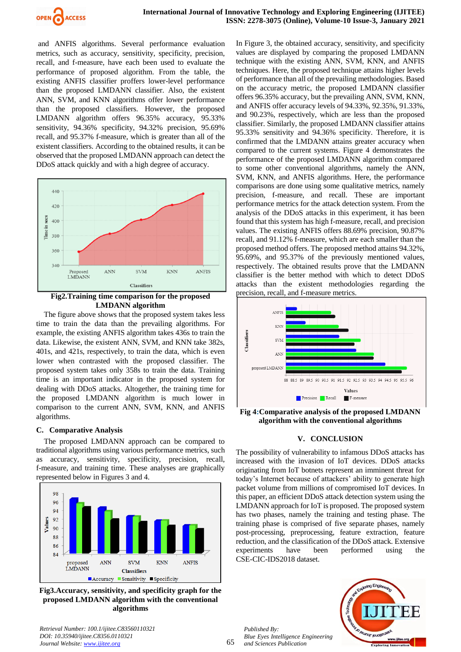

and ANFIS algorithms. Several performance evaluation metrics, such as accuracy, sensitivity, specificity, precision, recall, and f-measure, have each been used to evaluate the performance of proposed algorithm. From the table, the existing ANFIS classifier proffers lower-level performance than the proposed LMDANN classifier. Also, the existent ANN, SVM, and KNN algorithms offer lower performance than the proposed classifiers. However, the proposed LMDANN algorithm offers 96.35% accuracy, 95.33% sensitivity, 94.36% specificity, 94.32% precision, 95.69% recall, and 95.37% f-measure, which is greater than all of the existent classifiers. According to the obtained results, it can be observed that the proposed LMDANN approach can detect the DDoS attack quickly and with a high degree of accuracy.



**Fig2.Training time comparison for the proposed LMDANN algorithm**

The figure above shows that the proposed system takes less time to train the data than the prevailing algorithms. For example, the existing ANFIS algorithm takes 436s to train the data. Likewise, the existent ANN, SVM, and KNN take 382s, 401s, and 421s, respectively, to train the data, which is even lower when contrasted with the proposed classifier. The proposed system takes only 358s to train the data. Training time is an important indicator in the proposed system for dealing with DDoS attacks. Altogether, the training time for the proposed LMDANN algorithm is much lower in comparison to the current ANN, SVM, KNN, and ANFIS algorithms.

## **C. Comparative Analysis**

The proposed LMDANN approach can be compared to traditional algorithms using various performance metrics, such as accuracy, sensitivity, specificity, precision, recall, f-measure, and training time. These analyses are graphically represented below in Figures 3 and 4.



**Fig3.Accuracy, sensitivity, and specificity graph for the proposed LMDANN algorithm with the conventional algorithms**

In Figure 3, the obtained accuracy, sensitivity, and specificity values are displayed by comparing the proposed LMDANN technique with the existing ANN, SVM, KNN, and ANFIS techniques. Here, the proposed technique attains higher levels of performance than all of the prevailing methodologies. Based on the accuracy metric, the proposed LMDANN classifier offers 96.35% accuracy, but the prevailing ANN, SVM, KNN, and ANFIS offer accuracy levels of 94.33%, 92.35%, 91.33%, and 90.23%, respectively, which are less than the proposed classifier. Similarly, the proposed LMDANN classifier attains 95.33% sensitivity and 94.36% specificity. Therefore, it is confirmed that the LMDANN attains greater accuracy when compared to the current systems. Figure 4 demonstrates the performance of the proposed LMDANN algorithm compared to some other conventional algorithms, namely the ANN, SVM, KNN, and ANFIS algorithms. Here, the performance comparisons are done using some qualitative metrics, namely precision, f-measure, and recall. These are important performance metrics for the attack detection system. From the analysis of the DDoS attacks in this experiment, it has been found that this system has high f-measure, recall, and precision values. The existing ANFIS offers 88.69% precision, 90.87% recall, and 91.12% f-measure, which are each smaller than the proposed method offers. The proposed method attains 94.32%, 95.69%, and 95.37% of the previously mentioned values, respectively. The obtained results prove that the LMDANN classifier is the better method with which to detect DDoS attacks than the existent methodologies regarding the precision, recall, and f-measure metrics.



**Fig 4:Comparative analysis of the proposed LMDANN algorithm with the conventional algorithms**

## **V. CONCLUSION**

The possibility of vulnerability to infamous DDoS attacks has increased with the invasion of IoT devices. DDoS attacks originating from IoT botnets represent an imminent threat for today's Internet because of attackers' ability to generate high packet volume from millions of compromised IoT devices. In this paper, an efficient DDoS attack detection system using the LMDANN approach for IoT is proposed. The proposed system has two phases, namely the training and testing phase. The training phase is comprised of five separate phases, namely post-processing, preprocessing, feature extraction, feature reduction, and the classification of the DDoS attack. Extensive experiments have been performed using the CSE-CIC-IDS2018 dataset.